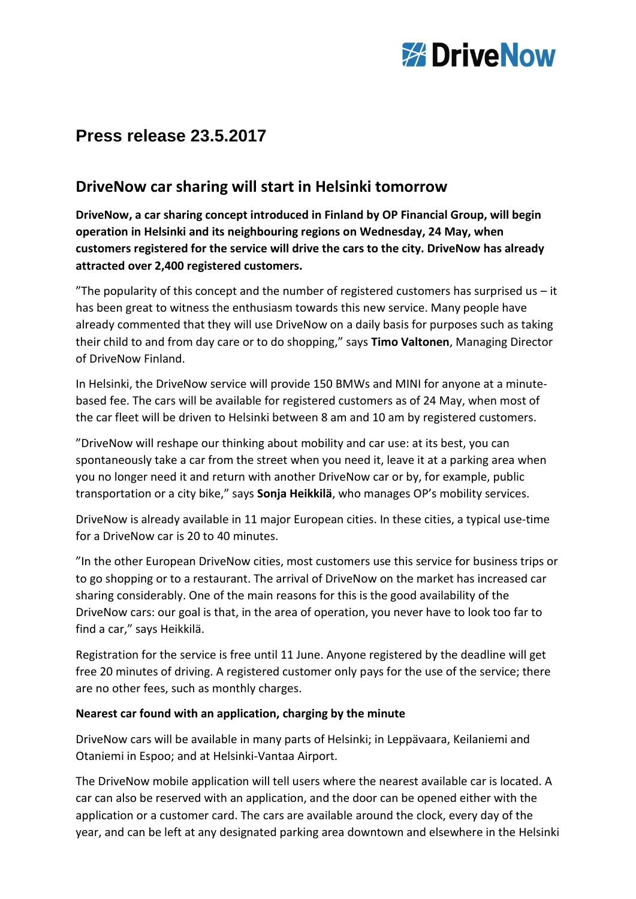

# **Press release 23.5.2017**

# **DriveNow car sharing will start in Helsinki tomorrow**

**DriveNow, a car sharing concept introduced in Finland by OP Financial Group, will begin operation in Helsinki and its neighbouring regions on Wednesday, 24 May, when customers registered for the service will drive the cars to the city. DriveNow has already attracted over 2,400 registered customers.**

"The popularity of this concept and the number of registered customers has surprised us  $-$  it has been great to witness the enthusiasm towards this new service. Many people have already commented that they will use DriveNow on a daily basis for purposes such as taking their child to and from day care or to do shopping," says **Timo Valtonen**, Managing Director of DriveNow Finland.

In Helsinki, the DriveNow service will provide 150 BMWs and MINI for anyone at a minutebased fee. The cars will be available for registered customers as of 24 May, when most of the car fleet will be driven to Helsinki between 8 am and 10 am by registered customers.

"DriveNow will reshape our thinking about mobility and car use: at its best, you can spontaneously take a car from the street when you need it, leave it at a parking area when you no longer need it and return with another DriveNow car or by, for example, public transportation or a city bike," says **Sonja Heikkilä**, who manages OP's mobility services.

DriveNow is already available in 11 major European cities. In these cities, a typical use-time for a DriveNow car is 20 to 40 minutes.

"In the other European DriveNow cities, most customers use this service for business trips or to go shopping or to a restaurant. The arrival of DriveNow on the market has increased car sharing considerably. One of the main reasons for this is the good availability of the DriveNow cars: our goal is that, in the area of operation, you never have to look too far to find a car," says Heikkilä.

Registration for the service is free until 11 June. Anyone registered by the deadline will get free 20 minutes of driving. A registered customer only pays for the use of the service; there are no other fees, such as monthly charges.

## **Nearest car found with an application, charging by the minute**

DriveNow cars will be available in many parts of Helsinki; in Leppävaara, Keilaniemi and Otaniemi in Espoo; and at Helsinki-Vantaa Airport.

The DriveNow mobile application will tell users where the nearest available car is located. A car can also be reserved with an application, and the door can be opened either with the application or a customer card. The cars are available around the clock, every day of the year, and can be left at any designated parking area downtown and elsewhere in the Helsinki